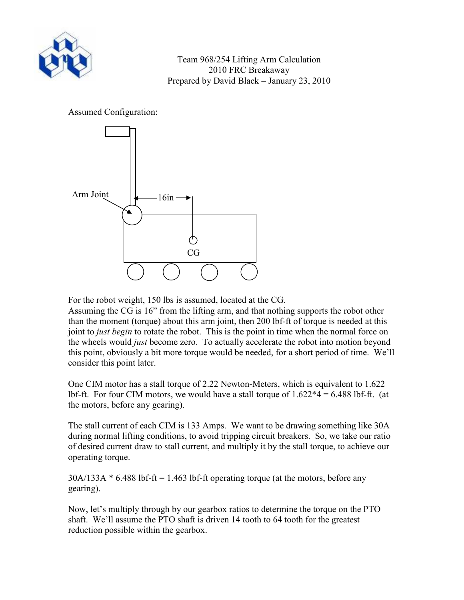

## Assumed Configuration:



For the robot weight, 150 lbs is assumed, located at the CG.

Assuming the CG is 16" from the lifting arm, and that nothing supports the robot other than the moment (torque) about this arm joint, then 200 lbf-ft of torque is needed at this joint to *just begin* to rotate the robot. This is the point in time when the normal force on the wheels would *just* become zero. To actually accelerate the robot into motion beyond this point, obviously a bit more torque would be needed, for a short period of time. We'll consider this point later.

One CIM motor has a stall torque of 2.22 Newton-Meters, which is equivalent to 1.622 lbf-ft. For four CIM motors, we would have a stall torque of  $1.622*4 = 6.488$  lbf-ft. (at the motors, before any gearing).

The stall current of each CIM is 133 Amps. We want to be drawing something like 30A during normal lifting conditions, to avoid tripping circuit breakers. So, we take our ratio of desired current draw to stall current, and multiply it by the stall torque, to achieve our operating torque.

 $30A/133A * 6.488$  lbf-ft = 1.463 lbf-ft operating torque (at the motors, before any gearing).

Now, let's multiply through by our gearbox ratios to determine the torque on the PTO shaft. We'll assume the PTO shaft is driven 14 tooth to 64 tooth for the greatest reduction possible within the gearbox.